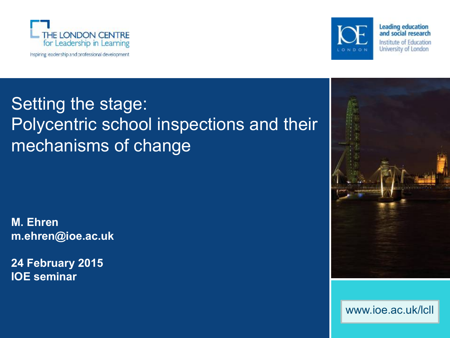



**Leading education** and social research Institute of Education University of London

## Setting the stage: Polycentric school inspections and their mechanisms of change

**M. Ehren m.ehren@ioe.ac.uk** 

**24 February 2015 IOE seminar** 



www.ioe.ac.uk/lcll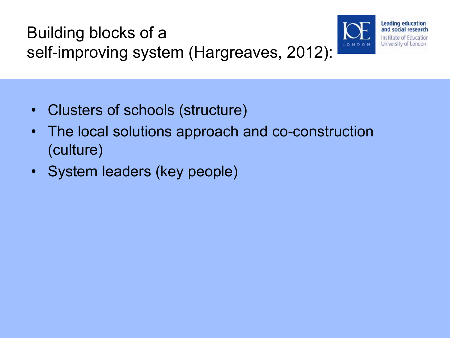



- Clusters of schools (structure)
- The local solutions approach and co-construction (culture)
- System leaders (key people)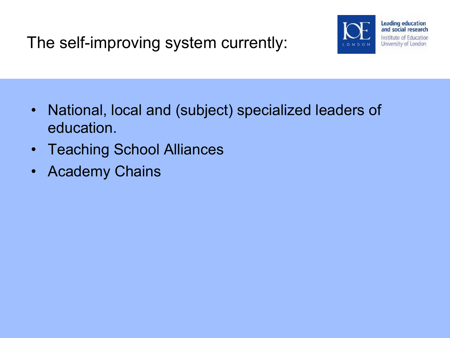The self-improving system currently:



- National, local and (subject) specialized leaders of education.
- Teaching School Alliances
- Academy Chains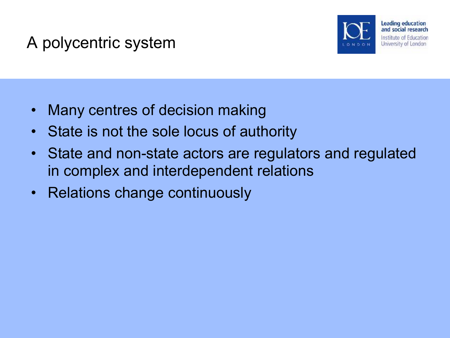### A polycentric system



- Many centres of decision making
- State is not the sole locus of authority
- State and non-state actors are regulators and regulated in complex and interdependent relations
- Relations change continuously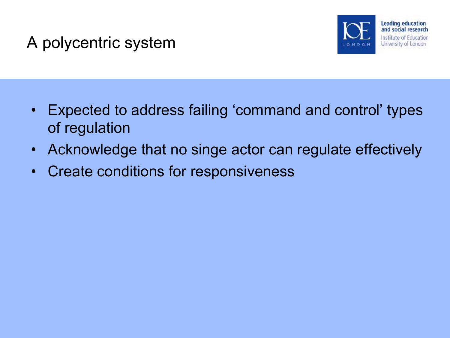### A polycentric system



- Expected to address failing 'command and control' types of regulation
- Acknowledge that no singe actor can regulate effectively
- Create conditions for responsiveness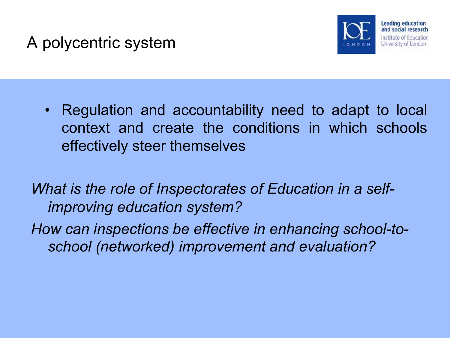#### A polycentric system



• Regulation and accountability need to adapt to local context and create the conditions in which schools effectively steer themselves

*What is the role of Inspectorates of Education in a selfimproving education system?* 

*How can inspections be effective in enhancing school-toschool (networked) improvement and evaluation?*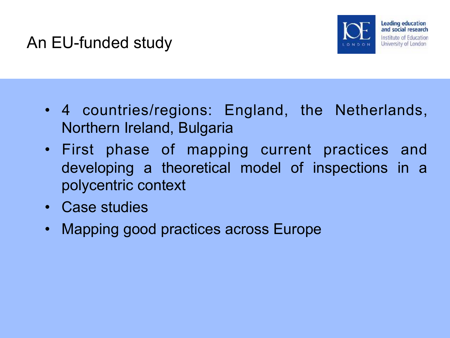#### An EU-funded study



- 4 countries/regions: England, the Netherlands, Northern Ireland, Bulgaria
- First phase of mapping current practices and developing a theoretical model of inspections in a polycentric context
- Case studies
- Mapping good practices across Europe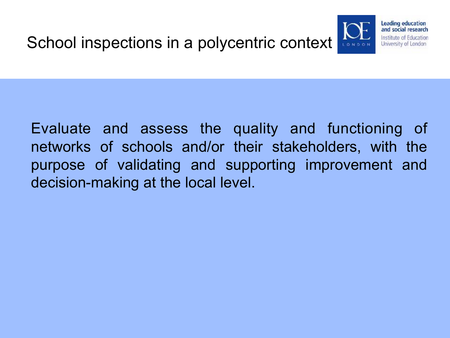

Evaluate and assess the quality and functioning of networks of schools and/or their stakeholders, with the purpose of validating and supporting improvement and decision-making at the local level.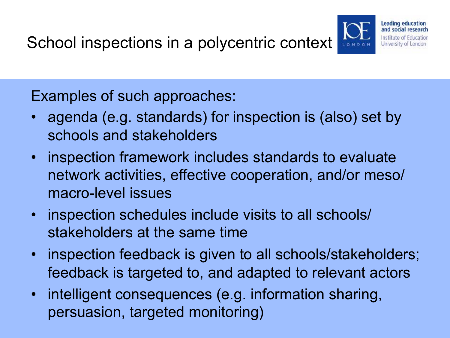Leading education and social research Institute of Education University of London

Examples of such approaches:

- agenda (e.g. standards) for inspection is (also) set by schools and stakeholders
- inspection framework includes standards to evaluate network activities, effective cooperation, and/or meso/ macro-level issues
- inspection schedules include visits to all schools/ stakeholders at the same time
- inspection feedback is given to all schools/stakeholders; feedback is targeted to, and adapted to relevant actors
- intelligent consequences (e.g. information sharing, persuasion, targeted monitoring)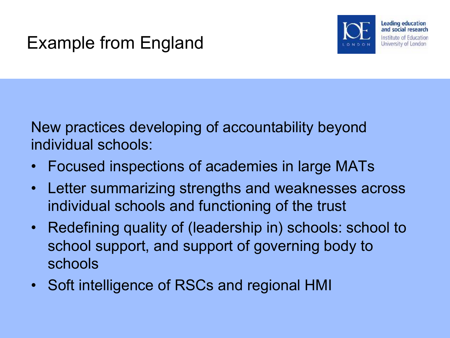### Example from England



New practices developing of accountability beyond individual schools:

- Focused inspections of academies in large MATs
- Letter summarizing strengths and weaknesses across individual schools and functioning of the trust
- Redefining quality of (leadership in) schools: school to school support, and support of governing body to schools
- Soft intelligence of RSCs and regional HMI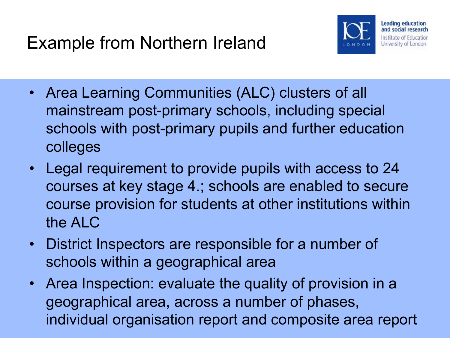

- Area Learning Communities (ALC) clusters of all mainstream post-primary schools, including special schools with post-primary pupils and further education colleges
- Legal requirement to provide pupils with access to 24 courses at key stage 4.; schools are enabled to secure course provision for students at other institutions within the ALC
- District Inspectors are responsible for a number of schools within a geographical area
- Area Inspection: evaluate the quality of provision in a geographical area, across a number of phases, individual organisation report and composite area report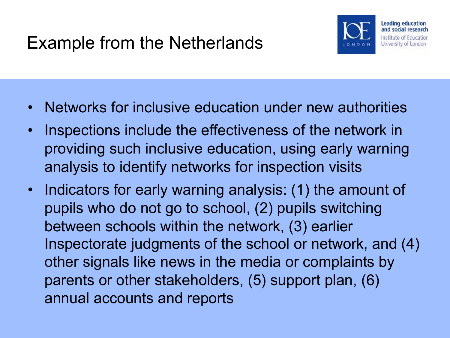

- Networks for inclusive education under new authorities
- Inspections include the effectiveness of the network in providing such inclusive education, using early warning analysis to identify networks for inspection visits
- Indicators for early warning analysis: (1) the amount of pupils who do not go to school, (2) pupils switching between schools within the network, (3) earlier Inspectorate judgments of the school or network, and (4) other signals like news in the media or complaints by parents or other stakeholders, (5) support plan, (6) annual accounts and reports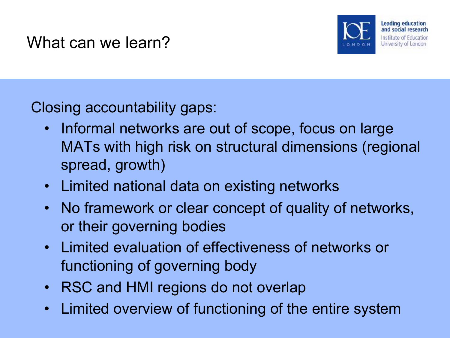

Closing accountability gaps:

- Informal networks are out of scope, focus on large MATs with high risk on structural dimensions (regional spread, growth)
- Limited national data on existing networks
- No framework or clear concept of quality of networks, or their governing bodies
- Limited evaluation of effectiveness of networks or functioning of governing body
- RSC and HMI regions do not overlap
- Limited overview of functioning of the entire system